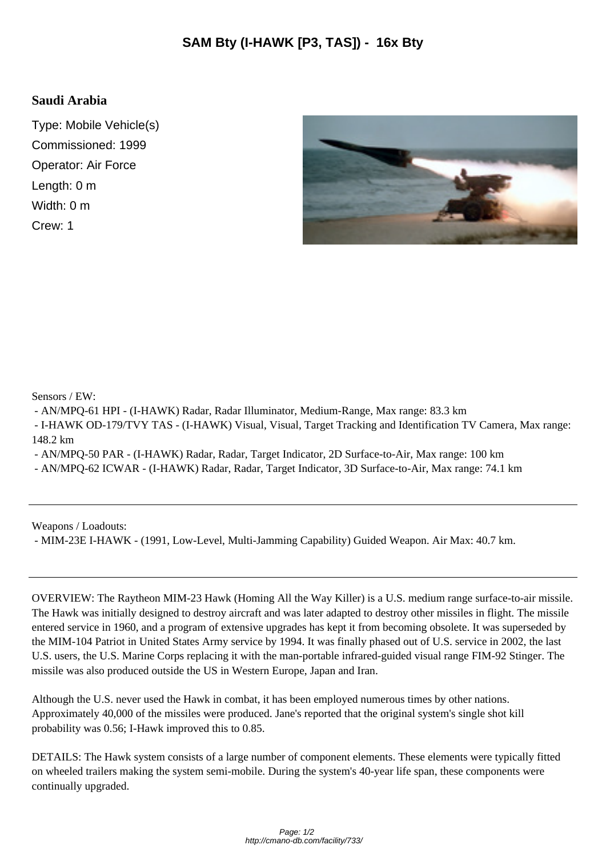## **Saudi Arabia**

Type: Mobile Vehicle(s) Commissioned: 1999 Operator: Air Force Length: 0 m Width: 0 m Crew: 1



Sensors / EW:

- AN/MPQ-61 HPI - (I-HAWK) Radar, Radar Illuminator, Medium-Range, Max range: 83.3 km

 - I-HAWK OD-179/TVY TAS - (I-HAWK) Visual, Visual, Target Tracking and Identification TV Camera, Max range: 148.2 km

- AN/MPQ-50 PAR - (I-HAWK) Radar, Radar, Target Indicator, 2D Surface-to-Air, Max range: 100 km

- AN/MPQ-62 ICWAR - (I-HAWK) Radar, Radar, Target Indicator, 3D Surface-to-Air, Max range: 74.1 km

Weapons / Loadouts:

- MIM-23E I-HAWK - (1991, Low-Level, Multi-Jamming Capability) Guided Weapon. Air Max: 40.7 km.

OVERVIEW: The Raytheon MIM-23 Hawk (Homing All the Way Killer) is a U.S. medium range surface-to-air missile. The Hawk was initially designed to destroy aircraft and was later adapted to destroy other missiles in flight. The missile entered service in 1960, and a program of extensive upgrades has kept it from becoming obsolete. It was superseded by the MIM-104 Patriot in United States Army service by 1994. It was finally phased out of U.S. service in 2002, the last U.S. users, the U.S. Marine Corps replacing it with the man-portable infrared-guided visual range FIM-92 Stinger. The missile was also produced outside the US in Western Europe, Japan and Iran.

Although the U.S. never used the Hawk in combat, it has been employed numerous times by other nations. Approximately 40,000 of the missiles were produced. Jane's reported that the original system's single shot kill probability was 0.56; I-Hawk improved this to 0.85.

DETAILS: The Hawk system consists of a large number of component elements. These elements were typically fitted on wheeled trailers making the system semi-mobile. During the system's 40-year life span, these components were continually upgraded.